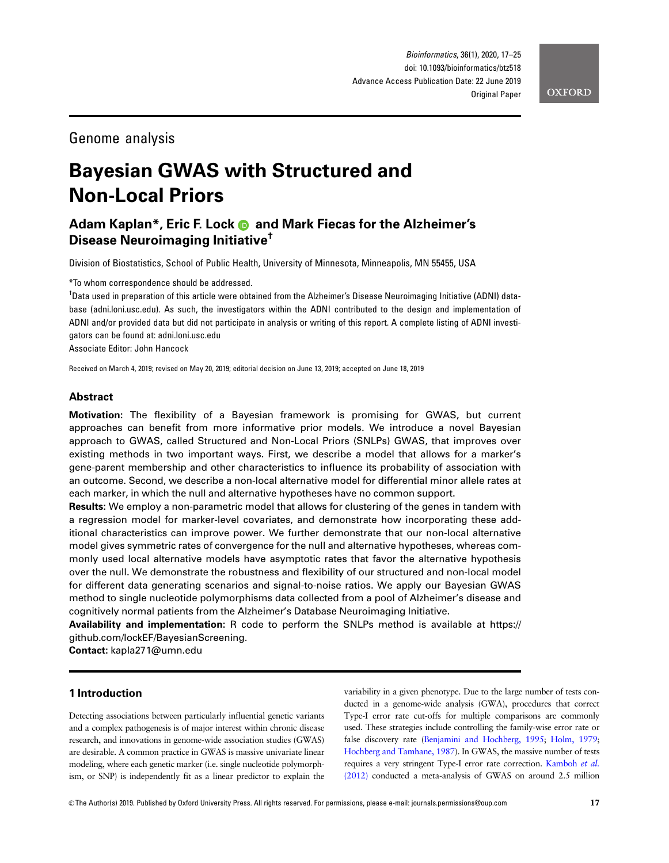# Genome analysis

# Bayesian GWAS with Structured and Non-Local Priors

# Adam Kaplan\*, Eric F. Lock **D** and Mark Fiecas for the Alzheimer's Disease Neuroimaging Initiative†

Division of Biostatistics, School of Public Health, University of Minnesota, Minneapolis, MN 55455, USA

\*To whom correspondence should be addressed.

† Data used in preparation of this article were obtained from the Alzheimer's Disease Neuroimaging Initiative (ADNI) database (adni.loni.usc.edu). As such, the investigators within the ADNI contributed to the design and implementation of ADNI and/or provided data but did not participate in analysis or writing of this report. A complete listing of ADNI investigators can be found at: adni.loni.usc.edu

Associate Editor: John Hancock

Received on March 4, 2019; revised on May 20, 2019; editorial decision on June 13, 2019; accepted on June 18, 2019

# Abstract

Motivation: The flexibility of a Bayesian framework is promising for GWAS, but current approaches can benefit from more informative prior models. We introduce a novel Bayesian approach to GWAS, called Structured and Non-Local Priors (SNLPs) GWAS, that improves over existing methods in two important ways. First, we describe a model that allows for a marker's gene-parent membership and other characteristics to influence its probability of association with an outcome. Second, we describe a non-local alternative model for differential minor allele rates at each marker, in which the null and alternative hypotheses have no common support.

Results: We employ a non-parametric model that allows for clustering of the genes in tandem with a regression model for marker-level covariates, and demonstrate how incorporating these additional characteristics can improve power. We further demonstrate that our non-local alternative model gives symmetric rates of convergence for the null and alternative hypotheses, whereas commonly used local alternative models have asymptotic rates that favor the alternative hypothesis over the null. We demonstrate the robustness and flexibility of our structured and non-local model for different data generating scenarios and signal-to-noise ratios. We apply our Bayesian GWAS method to single nucleotide polymorphisms data collected from a pool of Alzheimer's disease and cognitively normal patients from the Alzheimer's Database Neuroimaging Initiative.

Availability and implementation: R code to perform the SNLPs method is available at [https://](https://github.com/lockEF/BayesianScreening) [github.com/lockEF/BayesianScreening.](https://github.com/lockEF/BayesianScreening)

Contact: kapla271@umn.edu

# 1 Introduction

Detecting associations between particularly influential genetic variants and a complex pathogenesis is of major interest within chronic disease research, and innovations in genome-wide association studies (GWAS) are desirable. A common practice in GWAS is massive univariate linear modeling, where each genetic marker (i.e. single nucleotide polymorphism, or SNP) is independently fit as a linear predictor to explain the variability in a given phenotype. Due to the large number of tests conducted in a genome-wide analysis (GWA), procedures that correct Type-I error rate cut-offs for multiple comparisons are commonly used. These strategies include controlling the family-wise error rate or false discovery rate [\(Benjamini and Hochberg, 1995](#page-7-0); [Holm, 1979;](#page-7-0) [Hochberg and Tamhane, 1987](#page-7-0)). In GWAS, the massive number of tests requires a very stringent Type-I error rate correction. [Kamboh](#page-7-0) et al. [\(2012\)](#page-7-0) conducted a meta-analysis of GWAS on around 2.5 million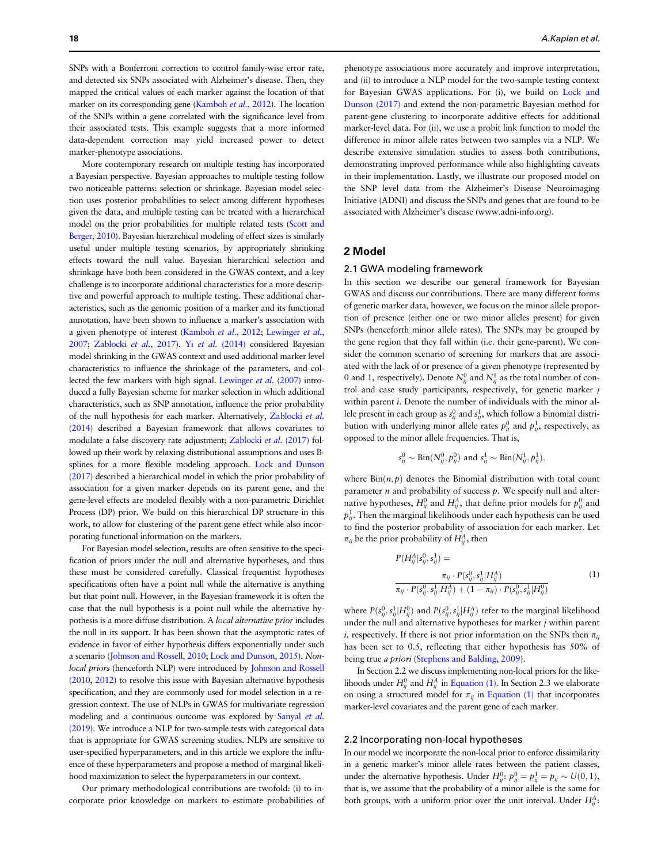<span id="page-1-0"></span>SNPs with a Bonferroni correction to control family-wise error rate, and detected six SNPs associated with Alzheimer's disease. Then, they mapped the critical values of each marker against the location of that marker on its corresponding gene [\(Kamboh](#page-7-0) et al., 2012). The location of the SNPs within a gene correlated with the significance level from their associated tests. This example suggests that a more informed data-dependent correction may yield increased power to detect marker-phenotype associations.

More contemporary research on multiple testing has incorporated a Bayesian perspective. Bayesian approaches to multiple testing follow two noticeable patterns: selection or shrinkage. Bayesian model selection uses posterior probabilities to select among different hypotheses given the data, and multiple testing can be treated with a hierarchical model on the prior probabilities for multiple related tests [\(Scott and](#page-7-0) [Berger, 2010](#page-7-0)). Bayesian hierarchical modeling of effect sizes is similarly useful under multiple testing scenarios, by appropriately shrinking effects toward the null value. Bayesian hierarchical selection and shrinkage have both been considered in the GWAS context, and a key challenge is to incorporate additional characteristics for a more descriptive and powerful approach to multiple testing. These additional characteristics, such as the genomic position of a marker and its functional annotation, have been shown to influence a marker's association with a given phenotype of interest ([Kamboh](#page-7-0) et al., 2012; [Lewinger](#page-7-0) et al., [2007](#page-7-0); [Zablocki](#page-8-0) et al., 2017). Yi et al. [\(2014\)](#page-8-0) considered Bayesian model shrinking in the GWAS context and used additional marker level characteristics to influence the shrinkage of the parameters, and collected the few markers with high signal. [Lewinger](#page-7-0) et al. (2007) introduced a fully Bayesian scheme for marker selection in which additional characteristics, such as SNP annotation, influence the prior probability of the null hypothesis for each marker. Alternatively, [Zablocki](#page-8-0) et al. [\(2014\)](#page-8-0) described a Bayesian framework that allows covariates to modulate a false discovery rate adjustment; [Zablocki](#page-8-0) et al. (2017) followed up their work by relaxing distributional assumptions and uses Bsplines for a more flexible modeling approach. [Lock and Dunson](#page-7-0) [\(2017\)](#page-7-0) described a hierarchical model in which the prior probability of association for a given marker depends on its parent gene, and the gene-level effects are modeled flexibly with a non-parametric Dirichlet Process (DP) prior. We build on this hierarchical DP structure in this work, to allow for clustering of the parent gene effect while also incorporating functional information on the markers.

For Bayesian model selection, results are often sensitive to the specification of priors under the null and alternative hypotheses, and thus these must be considered carefully. Classical frequentist hypotheses specifications often have a point null while the alternative is anything but that point null. However, in the Bayesian framework it is often the case that the null hypothesis is a point null while the alternative hypothesis is a more diffuse distribution. A local alternative prior includes the null in its support. It has been shown that the asymptotic rates of evidence in favor of either hypothesis differs exponentially under such a scenario ([Johnson and Rossell, 2010;](#page-7-0) [Lock and Dunson, 2015\)](#page-7-0). Non-local priors (henceforth NLP) were introduced by [Johnson and Rossell](#page-7-0) [\(2010,](#page-7-0) [2012](#page-7-0)) to resolve this issue with Bayesian alternative hypothesis specification, and they are commonly used for model selection in a regression context. The use of NLPs in GWAS for multivariate regression modeling and a continuous outcome was explored by [Sanyal](#page-7-0) et al. [\(2019\)](#page-7-0). We introduce a NLP for two-sample tests with categorical data that is appropriate for GWAS screening studies. NLPs are sensitive to user-specified hyperparameters, and in this article we explore the influence of these hyperparameters and propose a method of marginal likelihood maximization to select the hyperparameters in our context.

Our primary methodological contributions are twofold: (i) to incorporate prior knowledge on markers to estimate probabilities of

phenotype associations more accurately and improve interpretation, and (ii) to introduce a NLP model for the two-sample testing context for Bayesian GWAS applications. For (i), we build on [Lock and](#page-7-0) [Dunson \(2017\)](#page-7-0) and extend the non-parametric Bayesian method for parent-gene clustering to incorporate additive effects for additional marker-level data. For (ii), we use a probit link function to model the difference in minor allele rates between two samples via a NLP. We describe extensive simulation studies to assess both contributions, demonstrating improved performance while also highlighting caveats in their implementation. Lastly, we illustrate our proposed model on the SNP level data from the Alzheimer's Disease Neuroimaging Initiative (ADNI) and discuss the SNPs and genes that are found to be associated with Alzheimer's disease [\(www.adni-info.org](http://www.adni-info.org)).

# 2 Model

#### 2.1 GWA modeling framework

In this section we describe our general framework for Bayesian GWAS and discuss our contributions. There are many different forms of genetic marker data, however, we focus on the minor allele proportion of presence (either one or two minor alleles present) for given SNPs (henceforth minor allele rates). The SNPs may be grouped by the gene region that they fall within (i.e. their gene-parent). We consider the common scenario of screening for markers that are associated with the lack of or presence of a given phenotype (represented by 0 and 1, respectively). Denote  $N_{ij}^0$  and  $N_{ij}^1$  as the total number of control and case study participants, respectively, for genetic marker j within parent *i*. Denote the number of individuals with the minor allele present in each group as  $s_{ij}^0$  and  $s_{ij}^1$ , which follow a binomial distribution with underlying minor allele rates  $p_{ij}^0$  and  $p_{ij}^1$ , respectively, as opposed to the minor allele frequencies. That is,

$$
s_{ij}^0 \sim \text{Bin}(N_{ij}^0, p_{ij}^0) \text{ and } s_{ij}^1 \sim \text{Bin}(N_{ij}^1, p_{ij}^1),
$$

where  $Bin(n, p)$  denotes the Binomial distribution with total count parameter  $n$  and probability of success  $p$ . We specify null and alternative hypotheses,  $H_{ij}^0$  and  $H_{ij}^A$ , that define prior models for  $p_{ij}^0$  and  $p_{ij}^1$ . Then the marginal likelihoods under each hypothesis can be used to find the posterior probability of association for each marker. Let  $\pi_{ij}$  be the prior probability of  $H_{ij}^A$ , then

$$
P(H_{ij}^{A}|s_{ij}^{0}, s_{ij}^{1}) =
$$
  
\n
$$
\frac{\pi_{ij} \cdot P(s_{ij}^{0}, s_{ij}^{1}|H_{ij}^{A})}{\pi_{ij} \cdot P(s_{ij}^{0}, s_{ij}^{1}|H_{ij}^{A}) + (1 - \pi_{ij}) \cdot P(s_{ij}^{0}, s_{ij}^{1}|H_{ij}^{0})}
$$
\n(1)

where  $P(s_{ij}^0, s_{ij}^1 | H_{ij}^0)$  and  $P(s_{ij}^0, s_{ij}^1 | H_{ij}^A)$  refer to the marginal likelihood under the null and alternative hypotheses for marker  $j$  within parent *i*, respectively. If there is not prior information on the SNPs then  $\pi_{ij}$ has been set to 0.5, reflecting that either hypothesis has 50% of being true *a priori* ([Stephens and Balding, 2009](#page-8-0)).

In Section 2.2 we discuss implementing non-local priors for the likelihoods under  $H_{ij}^0$  and  $H_{ij}^A$  in Equation (1). In Section 2.3 we elaborate on using a structured model for  $\pi_{ij}$  in Equation (1) that incorporates marker-level covariates and the parent gene of each marker.

#### 2.2 Incorporating non-local hypotheses

In our model we incorporate the non-local prior to enforce dissimilarity in a genetic marker's minor allele rates between the patient classes, under the alternative hypothesis. Under  $H_{ij}^0$ :  $p_{ij}^0 = p_{ij}^1 = p_{ij} \sim U(0, 1)$ , that is, we assume that the probability of a minor allele is the same for both groups, with a uniform prior over the unit interval. Under  $H_{ij}^A$ :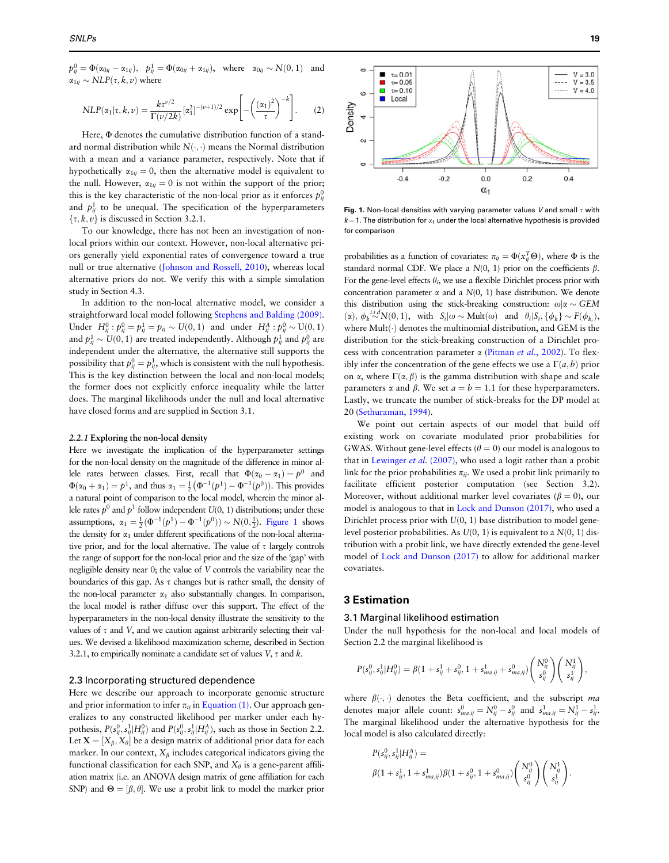<span id="page-2-0"></span> $p_{ij}^0 = \Phi(\alpha_{0ij} - \alpha_{1ij}), \quad p_{ij}^1 = \Phi(\alpha_{0ij} + \alpha_{1ij}), \quad \text{where} \quad \alpha_{0ij} \sim N(0, 1) \quad \text{and}$  $\alpha_{1ij} \sim NLP(\tau, k, \nu)$  where

$$
NLP(\alpha_1|\tau, k, \nu) = \frac{k\tau^{\nu/2}}{\Gamma(\nu/2k)} [\alpha_1^2]^{-(\nu+1)/2} \exp\left[-\left(\frac{(\alpha_1)^2}{\tau}\right)^{-k}\right].
$$
 (2)

Here,  $\Phi$  denotes the cumulative distribution function of a standard normal distribution while  $N(\cdot, \cdot)$  means the Normal distribution with a mean and a variance parameter, respectively. Note that if hypothetically  $\alpha_{1ij} = 0$ , then the alternative model is equivalent to the null. However,  $\alpha_{1ij} = 0$  is not within the support of the prior; this is the key characteristic of the non-local prior as it enforces  $p_{ij}^0$ and  $p_{ij}^1$  to be unequal. The specification of the hyperparameters  $\{\tau, k, \nu\}$  is discussed in Section 3.2.1.

To our knowledge, there has not been an investigation of nonlocal priors within our context. However, non-local alternative priors generally yield exponential rates of convergence toward a true null or true alternative [\(Johnson and Rossell, 2010](#page-7-0)), whereas local alternative priors do not. We verify this with a simple simulation study in Section 4.3.

In addition to the non-local alternative model, we consider a straightforward local model following [Stephens and Balding \(2009\).](#page-8-0) Under  $H_{ij}^0 : p_{ij}^0 = p_{ij}^1 = p_{ij} \sim U(0, 1)$  and under  $H_{ij}^A : p_{ij}^0 \sim U(0, 1)$ and  $p_{ij}^1 \sim U(0, 1)$  are treated independently. Although  $p_{ij}^1$  and  $p_{ij}^0$  are independent under the alternative, the alternative still supports the possibility that  $p_{ij}^0 = p_{ij}^1$ , which is consistent with the null hypothesis. This is the key distinction between the local and non-local models; the former does not explicitly enforce inequality while the latter does. The marginal likelihoods under the null and local alternative have closed forms and are supplied in Section 3.1.

#### 2.2.1 Exploring the non-local density

Here we investigate the implication of the hyperparameter settings for the non-local density on the magnitude of the difference in minor allele rates between classes. First, recall that  $\Phi(\alpha_0 - \alpha_1) = p^0$  and  $\Phi(\alpha_0 + \alpha_1) = p^1$ , and thus  $\alpha_1 = \frac{1}{2} (\Phi^{-1}(p^1) - \Phi^{-1}(p^0))$ . This provides a natural point of comparison to the local model, wherein the minor allele rates  $p^0$  and  $p^1$  follow independent  $U(0, 1)$  distributions; under these assumptions,  $\alpha_1 = \frac{1}{2}(\Phi^{-1}(p^1) - \Phi^{-1}(p^0)) \sim N(0, \frac{1}{2})$ . Figure 1 shows the density for  $\alpha_1$  under different specifications of the non-local alternative prior, and for the local alternative. The value of  $\tau$  largely controls the range of support for the non-local prior and the size of the 'gap' with negligible density near 0; the value of V controls the variability near the boundaries of this gap. As  $\tau$  changes but is rather small, the density of the non-local parameter  $\alpha_1$  also substantially changes. In comparison, the local model is rather diffuse over this support. The effect of the hyperparameters in the non-local density illustrate the sensitivity to the values of  $\tau$  and V, and we caution against arbitrarily selecting their values. We devised a likelihood maximization scheme, described in Section 3.2.1, to empirically nominate a candidate set of values  $V$ ,  $\tau$  and  $k$ .

#### 2.3 Incorporating structured dependence

Here we describe our approach to incorporate genomic structure and prior information to infer  $\pi_{ii}$  in [Equation \(1\)](#page-1-0). Our approach generalizes to any constructed likelihood per marker under each hypothesis,  $P(s_{ij}^0, s_{ij}^1|H_{ij}^0)$  and  $P(s_{ij}^0, s_{ij}^1|H_{ij}^A)$ , such as those in Section 2.2. Let  $X = [X_\beta, X_\theta]$  be a design matrix of additional prior data for each marker. In our context,  $X_\beta$  includes categorical indicators giving the functional classification for each SNP, and  $X_{\theta}$  is a gene-parent affiliation matrix (i.e. an ANOVA design matrix of gene affiliation for each SNP) and  $\Theta = [\beta, \theta]$ . We use a probit link to model the marker prior



Fig. 1. Non-local densities with varying parameter values V and small  $\tau$  with  $k = 1$ . The distribution for  $\alpha_1$  under the local alternative hypothesis is provided for comparison

probabilities as a function of covariates:  $\pi_{ij} = \Phi(x_{ij}^T \Theta)$ , where  $\Phi$  is the standard normal CDF. We place a  $N(0, 1)$  prior on the coefficients  $\beta$ . For the gene-level effects  $\theta_i$ , we use a flexible Dirichlet process prior with concentration parameter  $\alpha$  and a  $N(0, 1)$  base distribution. We denote this distribution using the stick-breaking construction:  $\omega | \alpha \sim GEM$  $(\alpha)$ ,  $\phi_k \stackrel{i.i.d}{\sim} N(0,1)$ , with  $S_i | \omega \sim \text{Mult}(\omega)$  and  $\theta_i | S_i, {\phi_k} \sim F(\phi_{k_i})$ , where  $Mult(\cdot)$  denotes the multinomial distribution, and GEM is the distribution for the stick-breaking construction of a Dirichlet process with concentration parameter  $\alpha$  ([Pitman](#page-7-0) et al., 2002). To flexibly infer the concentration of the gene effects we use a  $\Gamma(a, b)$  prior on  $\alpha$ , where  $\Gamma(\alpha, \beta)$  is the gamma distribution with shape and scale parameters  $\alpha$  and  $\beta$ . We set  $a = b = 1.1$  for these hyperparameters. Lastly, we truncate the number of stick-breaks for the DP model at 20 ([Sethuraman, 1994\)](#page-8-0).

We point out certain aspects of our model that build off existing work on covariate modulated prior probabilities for GWAS. Without gene-level effects ( $\theta = 0$ ) our model is analogous to that in [Lewinger](#page-7-0) et al. (2007), who used a logit rather than a probit link for the prior probabilities  $\pi_{ij}$ . We used a probit link primarily to facilitate efficient posterior computation (see Section 3.2). Moreover, without additional marker level covariates ( $\beta = 0$ ), our model is analogous to that in [Lock and Dunson \(2017\)](#page-7-0), who used a Dirichlet process prior with  $U(0, 1)$  base distribution to model genelevel posterior probabilities. As  $U(0, 1)$  is equivalent to a  $N(0, 1)$  distribution with a probit link, we have directly extended the gene-level model of [Lock and Dunson \(2017\)](#page-7-0) to allow for additional marker covariates.

## 3 Estimation

#### 3.1 Marginal likelihood estimation

Under the null hypothesis for the non-local and local models of Section 2.2 the marginal likelihood is

$$
P(s_{ij}^0, s_{ij}^1 | H_{ij}^0) = \beta(1 + s_{ij}^1 + s_{ij}^0, 1 + s_{ma,ij}^1 + s_{ma,ij}^0) \left( \begin{array}{c} N_{ij}^0 \\ s_{ij}^0 \end{array} \right) \left( \begin{array}{c} N_{ij}^1 \\ s_{ij}^1 \end{array} \right),
$$

where  $\beta(\cdot, \cdot)$  denotes the Beta coefficient, and the subscript ma denotes major allele count:  $s_{max,ij}^0 = N_{ij}^0 - s_{ij}^0$  and  $s_{max,ij}^1 = N_{ij}^1 - s_{ij}^1$ . The marginal likelihood under the alternative hypothesis for the local model is also calculated directly:

$$
P(s_{ij}^0, s_{ij}^1 | H_{ij}^A) =
$$
  
 
$$
\beta(1 + s_{ij}^1, 1 + s_{maj,j}^1) \beta(1 + s_{ij}^0, 1 + s_{maj,j}^0) \begin{pmatrix} N_{ij}^0 \\ s_{ij}^0 \end{pmatrix} \begin{pmatrix} N_{ij}^1 \\ s_{ij}^1 \end{pmatrix}.
$$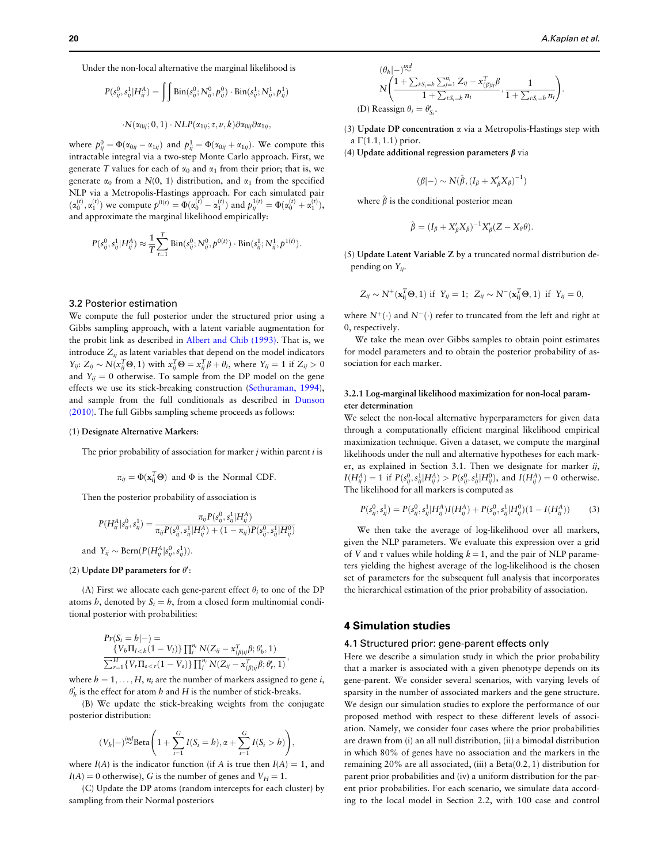Under the non-local alternative the marginal likelihood is

$$
P(s_{ij}^0, s_{ij}^1 | H_{ij}^A) = \iint Bin(s_{ij}^0; N_{ij}^0, p_{ij}^0) \cdot Bin(s_{ij}^1; N_{ij}^1, p_{ij}^1)
$$

$$
\cdot N(\alpha_{0ij}; 0, 1) \cdot NLP(\alpha_{1ij}; \tau, \nu, k) \partial \alpha_{0ij} \partial \alpha_{1ij},
$$

where  $p_{ij}^0 = \Phi(\alpha_{0ij} - \alpha_{1ij})$  and  $p_{ij}^1 = \Phi(\alpha_{0ij} + \alpha_{1ij})$ . We compute this intractable integral via a two-step Monte Carlo approach. First, we generate T values for each of  $\alpha_0$  and  $\alpha_1$  from their prior; that is, we generate  $\alpha_0$  from a  $N(0, 1)$  distribution, and  $\alpha_1$  from the specified NLP via a Metropolis-Hastings approach. For each simulated pair  $\alpha_0^{(t)}, \alpha_1^{(t)}$  we compute  $p^{0(t)} = \Phi(\alpha_0^{(t)} - \alpha_1^{(t)})$  and  $p_{ij}^{1(t)} = \Phi(\alpha_0^{(t)} + \alpha_1^{(t)}),$ and approximate the marginal likelihood empirically:

$$
P(s_{ij}^0, s_{ij}^1 | H_{ij}^A) \approx \frac{1}{T} \sum_{t=1}^T \text{Bin}(s_{ij}^0; N_{ij}^0, p^{0(t)}) \cdot \text{Bin}(s_{ij}^1; N_{ij}^1, p^{1(t)}).
$$

#### 3.2 Posterior estimation

We compute the full posterior under the structured prior using a Gibbs sampling approach, with a latent variable augmentation for the probit link as described in [Albert and Chib \(1993\).](#page-7-0) That is, we introduce  $Z_{ii}$  as latent variables that depend on the model indicators  $Y_{ij}$ :  $Z_{ij} \sim N(x_{ij}^T \Theta, 1)$  with  $x_{ij}^T \Theta = x_{ij}^T \beta + \theta_i$ , where  $Y_{ij} = 1$  if  $Z_{ij} > 0$ and  $Y_{ii} = 0$  otherwise. To sample from the DP model on the gene effects we use its stick-breaking construction ([Sethuraman, 1994](#page-8-0)), and sample from the full conditionals as described in [Dunson](#page-7-0) [\(2010\)](#page-7-0). The full Gibbs sampling scheme proceeds as follows:

#### (1) Designate Alternative Markers:

The prior probability of association for marker  $j$  within parent  $i$  is

$$
\pi_{ij} = \Phi(\mathbf{x}_{ij}^T \Theta)
$$
 and  $\Phi$  is the Normal CDF.

Then the posterior probability of association is

$$
P(H_{ij}^{A}|s_{ij}^{0},s_{ij}^{1}) = \frac{\pi_{ij}P(s_{ij}^{0},s_{ij}^{1}|H_{ij}^{A})}{\pi_{ij}P(s_{ij}^{0},s_{ij}^{1}|H_{ij}^{A}) + (1 - \pi_{ij})P(s_{ij}^{0},s_{ij}^{1}|H_{ij}^{0})}
$$

and  $Y_{ij} \sim \text{Bern}(P(H_{ij}^A | s_{ij}^0, s_{ij}^1)).$ 

#### (2) Update DP parameters for  $\theta'$ :

(A) First we allocate each gene-parent effect  $\theta_i$  to one of the DP atoms h, denoted by  $S_i = h$ , from a closed form multinomial conditional posterior with probabilities:

$$
Pr(S_i = h|-) = \{V_h\Pi_{l < h}(1 - V_l)\}\prod_{j}^{n_i} N(Z_{ij} - x_{(\beta)ij}^T\beta; \theta'_h, 1) \\ \frac{}{\sum_{r=1}^H \{V_r\Pi_{s < r}(1 - V_s)\}\prod_{j}^{n_i} N(Z_{ij} - x_{(\beta)ij}^T\beta; \theta'_r, 1)},
$$

where  $h = 1, \ldots, H$ ,  $n_i$  are the number of markers assigned to gene i,  $\theta'_b$  is the effect for atom  $b$  and  $H$  is the number of stick-breaks.

(B) We update the stick-breaking weights from the conjugate posterior distribution:

$$
(V_h|-)^{ind}_{\sim} \text{Beta}\Bigg(1+\sum_{i=1}^G I(S_i=h), \alpha+\sum_{i=1}^G I(S_i>b)\Bigg),
$$

where  $I(A)$  is the indicator function (if A is true then  $I(A) = 1$ , and  $I(A) = 0$  otherwise), G is the number of genes and  $V_H = 1$ .

(C) Update the DP atoms (random intercepts for each cluster) by sampling from their Normal posteriors

$$
\frac{(\theta_b|-)^{ind}}{N\left(\frac{1+\sum_{i:S_i=b}\sum_{j=1}^{n_i}Z_{ij}-x_{(\beta)ij}^T\beta}{1+\sum_{i:S_i=b}n_i},\frac{1}{1+\sum_{i:S_i=b}n_i}\right)}.
$$
  
(D) Reassign  $\theta_i = \theta'_{S_i}$ .

(3) Update DP concentration  $\alpha$  via a Metropolis-Hastings step with a  $\Gamma(1.1, 1.1)$  prior.

(4) Update additional regression parameters  $\beta$  via

$$
(\beta|-) \sim N(\hat{\beta}, (I_{\beta} + X_{\beta}'X_{\beta})^{-1})
$$

where  $\hat{\beta}$  is the conditional posterior mean

$$
\hat{\beta} = (I_{\beta} + X_{\beta}' X_{\beta})^{-1} X_{\beta}' (Z - X_{\theta} \theta).
$$

(5) Update Latent Variable Z by a truncated normal distribution depending on  $Y_{ii}$ .

$$
Z_{ij} \sim N^{+}(\mathbf{x}_{ij}^{T}\mathbf{\Theta}, 1) \text{ if } Y_{ij} = 1; \ Z_{ij} \sim N^{-}(\mathbf{x}_{ij}^{T}\mathbf{\Theta}, 1) \text{ if } Y_{ij} = 0,
$$

where  $N^+(\cdot)$  and  $N^-(\cdot)$  refer to truncated from the left and right at 0, respectively.

We take the mean over Gibbs samples to obtain point estimates for model parameters and to obtain the posterior probability of association for each marker.

#### 3.2.1 Log-marginal likelihood maximization for non-local parameter determination

We select the non-local alternative hyperparameters for given data through a computationally efficient marginal likelihood empirical maximization technique. Given a dataset, we compute the marginal likelihoods under the null and alternative hypotheses for each marker, as explained in Section 3.1. Then we designate for marker ij,  $I(H_{ij}^A) = 1$  if  $P(s_{ij}^0, s_{ij}^1 | H_{ij}^A) > P(s_{ij}^0, s_{ij}^1 | H_{ij}^0)$ , and  $I(H_{ij}^A) = 0$  otherwise. The likelihood for all markers is computed as

$$
P(s_{ij}^0, s_{ij}^1) = P(s_{ij}^0, s_{ij}^1 | H_{ij}^A) I(H_{ij}^A) + P(s_{ij}^0, s_{ij}^1 | H_{ij}^0) (1 - I(H_{ij}^A))
$$
 (3)

We then take the average of log-likelihood over all markers, given the NLP parameters. We evaluate this expression over a grid of V and  $\tau$  values while holding  $k = 1$ , and the pair of NLP parameters yielding the highest average of the log-likelihood is the chosen set of parameters for the subsequent full analysis that incorporates the hierarchical estimation of the prior probability of association.

# 4 Simulation studies

#### 4.1 Structured prior: gene-parent effects only

Here we describe a simulation study in which the prior probability that a marker is associated with a given phenotype depends on its gene-parent. We consider several scenarios, with varying levels of sparsity in the number of associated markers and the gene structure. We design our simulation studies to explore the performance of our proposed method with respect to these different levels of association. Namely, we consider four cases where the prior probabilities are drawn from (i) an all null distribution, (ii) a bimodal distribution in which 80% of genes have no association and the markers in the remaining 20% are all associated, (iii) a  $Beta(0.2, 1)$  distribution for parent prior probabilities and (iv) a uniform distribution for the parent prior probabilities. For each scenario, we simulate data according to the local model in Section 2.2, with 100 case and control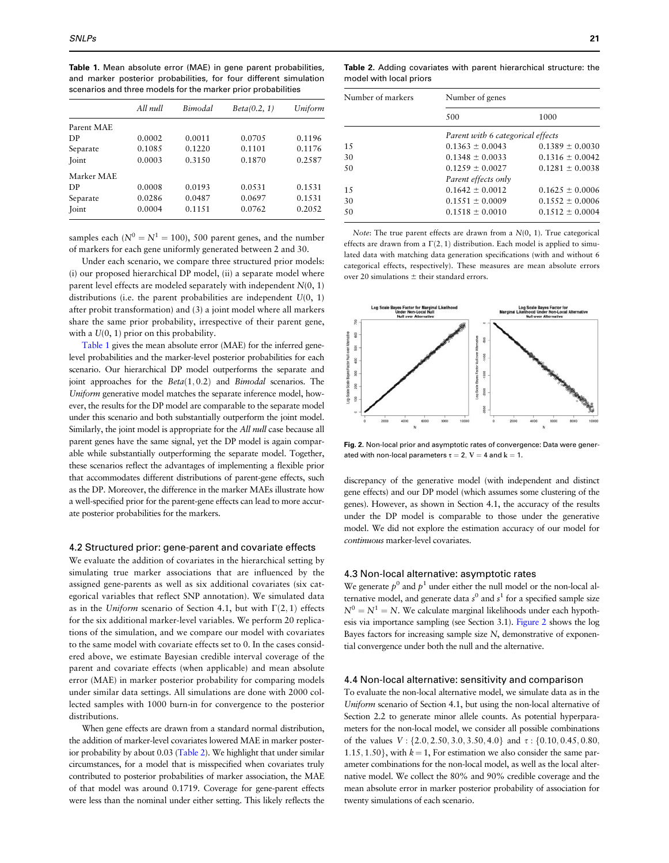Table 1. Mean absolute error (MAE) in gene parent probabilities. and marker posterior probabilities, for four different simulation scenarios and three models for the marker prior probabilities

|            | All null | Bimodal | Beta(0.2, 1) | Uniform |
|------------|----------|---------|--------------|---------|
| Parent MAE |          |         |              |         |
| DP         | 0.0002   | 0.0011  | 0.0705       | 0.1196  |
| Separate   | 0.1085   | 0.1220  | 0.1101       | 0.1176  |
| Joint      | 0.0003   | 0.3150  | 0.1870       | 0.2587  |
| Marker MAE |          |         |              |         |
| DP         | 0.0008   | 0.0193  | 0.0531       | 0.1531  |
| Separate   | 0.0286   | 0.0487  | 0.0697       | 0.1531  |
| Joint      | 0.0004   | 0.1151  | 0.0762       | 0.2052  |

samples each ( $N^0 = N^1 = 100$ ), 500 parent genes, and the number of markers for each gene uniformly generated between 2 and 30.

Under each scenario, we compare three structured prior models: (i) our proposed hierarchical DP model, (ii) a separate model where parent level effects are modeled separately with independent  $N(0, 1)$ distributions (i.e. the parent probabilities are independent  $U(0, 1)$ after probit transformation) and (3) a joint model where all markers share the same prior probability, irrespective of their parent gene, with a  $U(0, 1)$  prior on this probability.

Table 1 gives the mean absolute error (MAE) for the inferred genelevel probabilities and the marker-level posterior probabilities for each scenario. Our hierarchical DP model outperforms the separate and joint approaches for the  $Beta(1, 0.2)$  and  $Bimodal$  scenarios. The Uniform generative model matches the separate inference model, however, the results for the DP model are comparable to the separate model under this scenario and both substantially outperform the joint model. Similarly, the joint model is appropriate for the All null case because all parent genes have the same signal, yet the DP model is again comparable while substantially outperforming the separate model. Together, these scenarios reflect the advantages of implementing a flexible prior that accommodates different distributions of parent-gene effects, such as the DP. Moreover, the difference in the marker MAEs illustrate how a well-specified prior for the parent-gene effects can lead to more accurate posterior probabilities for the markers.

#### 4.2 Structured prior: gene-parent and covariate effects

We evaluate the addition of covariates in the hierarchical setting by simulating true marker associations that are influenced by the assigned gene-parents as well as six additional covariates (six categorical variables that reflect SNP annotation). We simulated data as in the Uniform scenario of Section 4.1, but with  $\Gamma(2, 1)$  effects for the six additional marker-level variables. We perform 20 replications of the simulation, and we compare our model with covariates to the same model with covariate effects set to 0. In the cases considered above, we estimate Bayesian credible interval coverage of the parent and covariate effects (when applicable) and mean absolute error (MAE) in marker posterior probability for comparing models under similar data settings. All simulations are done with 2000 collected samples with 1000 burn-in for convergence to the posterior distributions.

When gene effects are drawn from a standard normal distribution, the addition of marker-level covariates lowered MAE in marker posterior probability by about 0.03 (Table 2). We highlight that under similar circumstances, for a model that is misspecified when covariates truly contributed to posterior probabilities of marker association, the MAE of that model was around 0.1719. Coverage for gene-parent effects were less than the nominal under either setting. This likely reflects the

Table 2. Adding covariates with parent hierarchical structure: the model with local priors

| Number of markers | Number of genes                   |                     |  |  |
|-------------------|-----------------------------------|---------------------|--|--|
|                   | 500                               | 1000                |  |  |
|                   | Parent with 6 categorical effects |                     |  |  |
| 15                | $0.1363 \pm 0.0043$               | $0.1389 \pm 0.0030$ |  |  |
| 30                | $0.1348 \pm 0.0033$               | $0.1316 \pm 0.0042$ |  |  |
| 50                | $0.1259 \pm 0.0027$               | $0.1281 \pm 0.0038$ |  |  |
|                   | Parent effects only               |                     |  |  |
| 15                | $0.1642 \pm 0.0012$               | $0.1625 \pm 0.0006$ |  |  |
| 30                | $0.1551 \pm 0.0009$               | $0.1552 \pm 0.0006$ |  |  |
| .50               | $0.1518 \pm 0.0010$               | $0.1512 \pm 0.0004$ |  |  |

Note: The true parent effects are drawn from a N(0, 1). True categorical effects are drawn from a  $\Gamma(2, 1)$  distribution. Each model is applied to simulated data with matching data generation specifications (with and without 6 categorical effects, respectively). These measures are mean absolute errors over 20 simulations  $\pm$  their standard errors.



Fig. 2. Non-local prior and asymptotic rates of convergence: Data were generated with non-local parameters  $\tau = 2$ ,  $V = 4$  and  $k = 1$ .

discrepancy of the generative model (with independent and distinct gene effects) and our DP model (which assumes some clustering of the genes). However, as shown in Section 4.1, the accuracy of the results under the DP model is comparable to those under the generative model. We did not explore the estimation accuracy of our model for continuous marker-level covariates.

## 4.3 Non-local alternative: asymptotic rates

We generate  $p^0$  and  $p^1$  under either the null model or the non-local alternative model, and generate data  $s^0$  and  $s^1$  for a specified sample size  $N^0 = N^1 = N$ . We calculate marginal likelihoods under each hypothesis via importance sampling (see Section 3.1). Figure 2 shows the log Bayes factors for increasing sample size  $N$ , demonstrative of exponential convergence under both the null and the alternative.

# 4.4 Non-local alternative: sensitivity and comparison

To evaluate the non-local alternative model, we simulate data as in the Uniform scenario of Section 4.1, but using the non-local alternative of Section 2.2 to generate minor allele counts. As potential hyperparameters for the non-local model, we consider all possible combinations of the values  $V : \{2.0, 2.50, 3.0, 3.50, 4.0\}$  and  $\tau : \{0.10, 0.45, 0.80,$ 1.15, 1.50}, with  $k = 1$ , For estimation we also consider the same parameter combinations for the non-local model, as well as the local alternative model. We collect the 80% and 90% credible coverage and the mean absolute error in marker posterior probability of association for twenty simulations of each scenario.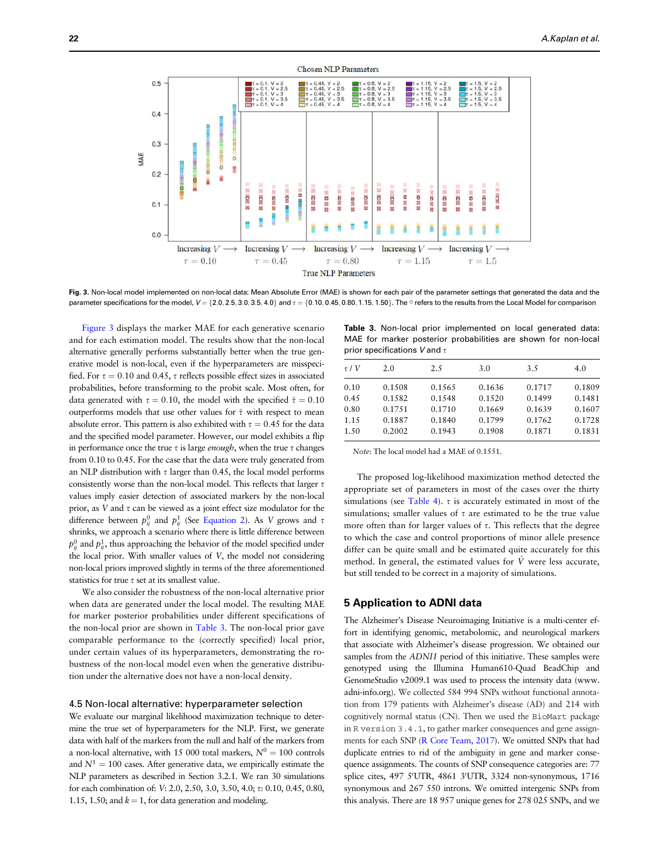

Fig. 3. Non-local model implemented on non-local data: Mean Absolute Error (MAE) is shown for each pair of the parameter settings that generated the data and the parameter specifications for the model,  $V = \{2.0, 2.5, 3.0, 3.5, 4.0\}$  and  $\tau = \{0.10, 0.45, 0.80, 1.15, 1.50\}$ . The  $\circ$  refers to the results from the Local Model for comparison

Figure 3 displays the marker MAE for each generative scenario and for each estimation model. The results show that the non-local alternative generally performs substantially better when the true generative model is non-local, even if the hyperparameters are misspecified. For  $\tau = 0.10$  and 0.45,  $\tau$  reflects possible effect sizes in associated probabilities, before transforming to the probit scale. Most often, for data generated with  $\tau = 0.10$ , the model with the specified  $\hat{\tau} = 0.10$ outperforms models that use other values for  $\hat{\tau}$  with respect to mean absolute error. This pattern is also exhibited with  $\tau = 0.45$  for the data and the specified model parameter. However, our model exhibits a flip in performance once the true  $\tau$  is large *enough*, when the true  $\tau$  changes from 0.10 to 0.45. For the case that the data were truly generated from an NLP distribution with  $\tau$  larger than 0.45, the local model performs consistently worse than the non-local model. This reflects that larger  $\tau$ values imply easier detection of associated markers by the non-local prior, as V and  $\tau$  can be viewed as a joint effect size modulator for the difference between  $p_{ij}^0$  and  $p_{ij}^1$  (See [Equation 2](#page-2-0)). As V grows and  $\tau$ shrinks, we approach a scenario where there is little difference between  $p_{ij}^0$  and  $p_{ij}^1$ , thus approaching the behavior of the model specified under the local prior. With smaller values of V, the model not considering non-local priors improved slightly in terms of the three aforementioned statistics for true  $\tau$  set at its smallest value.

We also consider the robustness of the non-local alternative prior when data are generated under the local model. The resulting MAE for marker posterior probabilities under different specifications of the non-local prior are shown in Table 3. The non-local prior gave comparable performance to the (correctly specified) local prior, under certain values of its hyperparameters, demonstrating the robustness of the non-local model even when the generative distribution under the alternative does not have a non-local density.

#### 4.5 Non-local alternative: hyperparameter selection

We evaluate our marginal likelihood maximization technique to determine the true set of hyperparameters for the NLP. First, we generate data with half of the markers from the null and half of the markers from a non-local alternative, with 15 000 total markers,  $N^0 = 100$  controls and  $N^1 = 100$  cases. After generative data, we empirically estimate the NLP parameters as described in Section 3.2.1. We ran 30 simulations for each combination of: V: 2.0, 2.50, 3.0, 3.50, 4.0; s: 0.10, 0.45, 0.80, 1.15, 1.50; and  $k = 1$ , for data generation and modeling.

Table 3. Non-local prior implemented on local generated data: MAE for marker posterior probabilities are shown for non-local prior specifications V and  $\tau$ 

| τ / V                                | 2.0                                            | 2.5                                            | 3.0                                            | 3.5                                            | 4.0                                            |
|--------------------------------------|------------------------------------------------|------------------------------------------------|------------------------------------------------|------------------------------------------------|------------------------------------------------|
| 0.10<br>0.45<br>0.80<br>1.15<br>1.50 | 0.1508<br>0.1582<br>0.1751<br>0.1887<br>0.2002 | 0.1565<br>0.1548<br>0.1710<br>0.1840<br>0.1943 | 0.1636<br>0.1520<br>0.1669<br>0.1799<br>0.1908 | 0.1717<br>0.1499<br>0.1639<br>0.1762<br>0.1871 | 0.1809<br>0.1481<br>0.1607<br>0.1728<br>0.1831 |
|                                      |                                                |                                                |                                                |                                                |                                                |
|                                      |                                                |                                                |                                                |                                                |                                                |

Note: The local model had a MAE of 0.1551.

The proposed log-likelihood maximization method detected the appropriate set of parameters in most of the cases over the thirty simulations (see [Table 4\)](#page-6-0).  $\tau$  is accurately estimated in most of the simulations; smaller values of  $\tau$  are estimated to be the true value more often than for larger values of  $\tau$ . This reflects that the degree to which the case and control proportions of minor allele presence differ can be quite small and be estimated quite accurately for this method. In general, the estimated values for  $\hat{V}$  were less accurate, but still tended to be correct in a majority of simulations.

#### 5 Application to ADNI data

The Alzheimer's Disease Neuroimaging Initiative is a multi-center effort in identifying genomic, metabolomic, and neurological markers that associate with Alzheimer's disease progression. We obtained our samples from the ADNI1 period of this initiative. These samples were genotyped using the Illumina Human610-Quad BeadChip and GenomeStudio v2009.1 was used to process the intensity data ([www.](http://www.adni-info.org) [adni-info.org\)](http://www.adni-info.org). We collected 584 994 SNPs without functional annotation from 179 patients with Alzheimer's disease (AD) and 214 with cognitively normal status (CN). Then we used the BioMart package in R version 3.4.1, to gather marker consequences and gene assignments for each SNP [\(R Core Team, 2017\)](#page-7-0). We omitted SNPs that had duplicate entries to rid of the ambiguity in gene and marker consequence assignments. The counts of SNP consequence categories are: 77 splice cites, 497 5'UTR, 4861 3'UTR, 3324 non-synonymous, 1716 synonymous and 267 550 introns. We omitted intergenic SNPs from this analysis. There are 18 957 unique genes for 278 025 SNPs, and we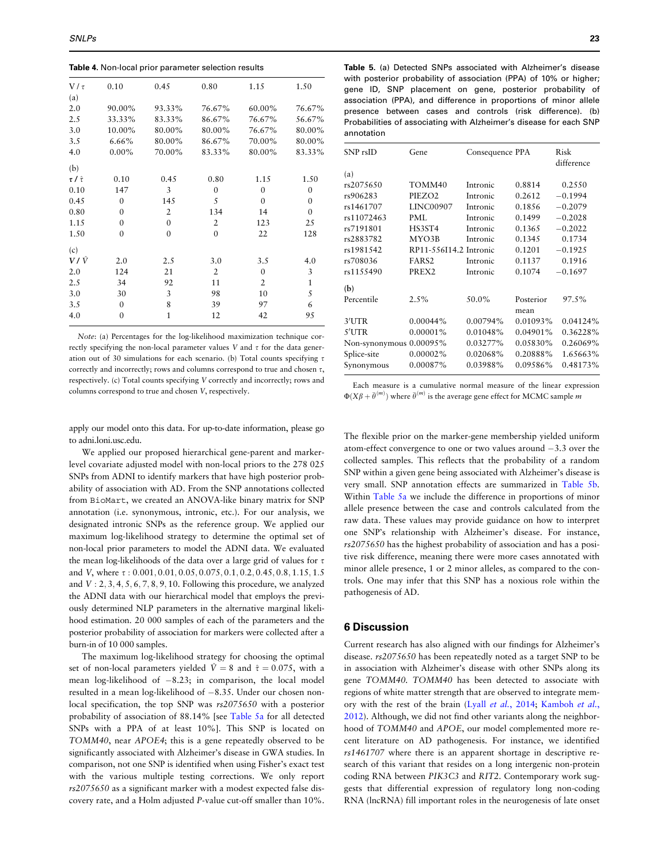<span id="page-6-0"></span>Table 4. Non-local prior parameter selection results

| $V / \tau$        | 0.10         | 0.45         | 0.80     | 1.15           | 1.50         |
|-------------------|--------------|--------------|----------|----------------|--------------|
| (a)               |              |              |          |                |              |
| 2.0               | 90.00%       | 93.33%       | 76.67%   | 60.00%         | 76.67%       |
| 2.5               | 33.33%       | 83.33%       | 86.67%   | 76.67%         | 56.67%       |
| 3.0               | 10.00%       | 80.00%       | 80.00%   | 76.67%         | 80.00%       |
| 3.5               | 6.66%        | 80.00%       | 86.67%   | 70.00%         | 80.00%       |
| 4.0               | $0.00\%$     | 70.00%       | 83.33%   | 80.00%         | 83.33%       |
| (b)               |              |              |          |                |              |
| $\tau/\hat{\tau}$ | 0.10         | 0.45         | 0.80     | 1.15           | 1.50         |
| 0.10              | 147          | 3            | $\theta$ | $\theta$       | $\mathbf{0}$ |
| 0.45              | $\Omega$     | 145          | 5        | $\theta$       | $\mathbf{0}$ |
| 0.80              | $\Omega$     | 2            | 134      | 14             | $\mathbf{0}$ |
| 1.15              | $\Omega$     | $\Omega$     | 2        | 123            | 25           |
| 1.50              | $\mathbf{0}$ | $\mathbf{0}$ | $\theta$ | 22             | 128          |
| (c)               |              |              |          |                |              |
| $V/\tilde{V}$     | 2.0          | 2.5          | 3.0      | 3.5            | 4.0          |
| 2.0               | 124          | 21           | 2        | $\mathbf{0}$   | 3            |
| 2.5               | 34           | 92           | 11       | $\overline{2}$ | $\mathbf{1}$ |
| 3.0               | 30           | 3            | 98       | 10             | 5            |
| 3.5               | $\Omega$     | 8            | 39       | 97             | 6            |
| 4.0               | $\Omega$     | 1            | 12       | 42             | 95           |
|                   |              |              |          |                |              |

Note: (a) Percentages for the log-likelihood maximization technique correctly specifying the non-local parameter values V and  $\tau$  for the data generation out of 30 simulations for each scenario. (b) Total counts specifying  $\tau$ correctly and incorrectly; rows and columns correspond to true and chosen  $\tau$ , respectively. (c) Total counts specifying V correctly and incorrectly; rows and columns correspond to true and chosen V, respectively.

apply our model onto this data. For up-to-date information, please go to adni.loni.usc.edu.

We applied our proposed hierarchical gene-parent and markerlevel covariate adjusted model with non-local priors to the 278 025 SNPs from ADNI to identify markers that have high posterior probability of association with AD. From the SNP annotations collected from BioMart, we created an ANOVA-like binary matrix for SNP annotation (i.e. synonymous, intronic, etc.). For our analysis, we designated intronic SNPs as the reference group. We applied our maximum log-likelihood strategy to determine the optimal set of non-local prior parameters to model the ADNI data. We evaluated the mean log-likelihoods of the data over a large grid of values for  $\tau$ and V, where  $\tau$  : 0.001, 0.01, 0.05, 0.075, 0.1, 0.2, 0.45, 0.8, 1.15, 1.5 and  $V: 2, 3, 4, 5, 6, 7, 8, 9, 10$ . Following this procedure, we analyzed the ADNI data with our hierarchical model that employs the previously determined NLP parameters in the alternative marginal likelihood estimation. 20 000 samples of each of the parameters and the posterior probability of association for markers were collected after a burn-in of 10 000 samples.

The maximum log-likelihood strategy for choosing the optimal set of non-local parameters yielded  $\hat{V} = 8$  and  $\hat{\tau} = 0.075$ , with a mean log-likelihood of  $-8.23$ ; in comparison, the local model resulted in a mean log-likelihood of  $-8.35$ . Under our chosen nonlocal specification, the top SNP was rs2075650 with a posterior probability of association of 88.14% [see Table 5a for all detected SNPs with a PPA of at least 10%]. This SNP is located on TOMM40, near APOE4; this is a gene repeatedly observed to be significantly associated with Alzheimer's disease in GWA studies. In comparison, not one SNP is identified when using Fisher's exact test with the various multiple testing corrections. We only report rs2075650 as a significant marker with a modest expected false discovery rate, and a Holm adjusted P-value cut-off smaller than 10%.

Table 5. (a) Detected SNPs associated with Alzheimer's disease with posterior probability of association (PPA) of 10% or higher; gene ID, SNP placement on gene, posterior probability of association (PPA), and difference in proportions of minor allele presence between cases and controls (risk difference). (b) Probabilities of associating with Alzheimer's disease for each SNP annotation

| SNP rsID                | Gene                   | Consequence PPA |           | Risk<br>difference |
|-------------------------|------------------------|-----------------|-----------|--------------------|
| (a)                     |                        |                 |           |                    |
| rs2075650               | TOMM40                 | Intronic        | 0.8814    | 0.2550             |
| rs906283                | PIEZO <sub>2</sub>     | Intronic        | 0.2612    | $-0.1994$          |
| rs1461707               | LINC00907              | Intronic        | 0.1856    | $-0.2079$          |
| rs11072463              | PML                    | Intronic        | 0.1499    | $-0.2028$          |
| rs7191801               | HS3ST4                 | Intronic        | 0.1365    | $-0.2022$          |
| rs2883782               | MYO3B                  | Intronic        | 0.1345    | 0.1734             |
| rs1981542               | RP11-556I14.2 Intronic |                 | 0.1201    | $-0.1925$          |
| rs708036                | FARS <sub>2</sub>      | Intronic        | 0.1137    | 0.1916             |
| rs1155490               | PREX2                  | Intronic        | 0.1074    | $-0.1697$          |
| (b)                     |                        |                 |           |                    |
| Percentile              | 2.5%                   | 50.0%           | Posterior | 97.5%              |
|                         |                        |                 | mean      |                    |
| 3'UTR                   | $0.00044\%$            | 0.00794%        | 0.01093%  | 0.04124%           |
| 5'UTR                   | $0.00001\%$            | 0.01048%        | 0.04901%  | 0.36228%           |
| Non-synonymous 0.00095% |                        | 0.03277%        | 0.05830%  | 0.26069%           |
| Splice-site             | $0.00002\%$            | 0.02068%        | 0.20888%  | 1.65663%           |
| Synonymous              | 0.00087%               | 0.03988%        | 0.09586%  | 0.48173%           |

Each measure is a cumulative normal measure of the linear expression  $\Phi(X\beta + \bar{\theta}^{(m)})$  where  $\bar{\theta}^{(m)}$  is the average gene effect for MCMC sample m

The flexible prior on the marker-gene membership yielded uniform atom-effect convergence to one or two values around  $-3.3$  over the collected samples. This reflects that the probability of a random SNP within a given gene being associated with Alzheimer's disease is very small. SNP annotation effects are summarized in Table 5b. Within Table 5a we include the difference in proportions of minor allele presence between the case and controls calculated from the raw data. These values may provide guidance on how to interpret one SNP's relationship with Alzheimer's disease. For instance, rs2075650 has the highest probability of association and has a positive risk difference, meaning there were more cases annotated with minor allele presence, 1 or 2 minor alleles, as compared to the controls. One may infer that this SNP has a noxious role within the pathogenesis of AD.

# 6 Discussion

Current research has also aligned with our findings for Alzheimer's disease. rs2075650 has been repeatedly noted as a target SNP to be in association with Alzheimer's disease with other SNPs along its gene TOMM40. TOMM40 has been detected to associate with regions of white matter strength that are observed to integrate memory with the rest of the brain (Lyall et al.[, 2014](#page-7-0); [Kamboh](#page-7-0) et al., [2012\)](#page-7-0). Although, we did not find other variants along the neighborhood of TOMM40 and APOE, our model complemented more recent literature on AD pathogenesis. For instance, we identified rs1461707 where there is an apparent shortage in descriptive research of this variant that resides on a long intergenic non-protein coding RNA between PIK3C3 and RIT2. Contemporary work suggests that differential expression of regulatory long non-coding RNA (lncRNA) fill important roles in the neurogenesis of late onset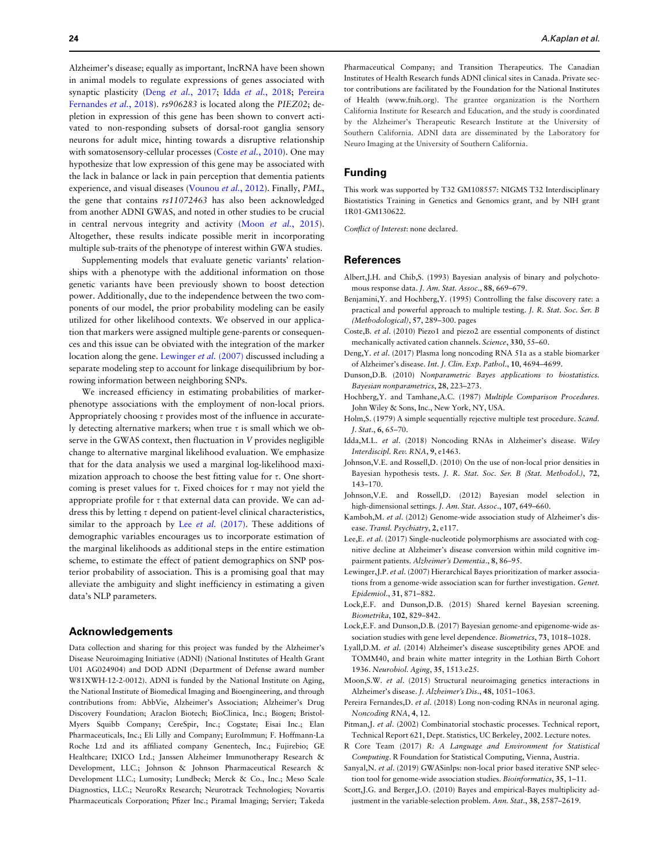<span id="page-7-0"></span>Alzheimer's disease; equally as important, lncRNA have been shown in animal models to regulate expressions of genes associated with synaptic plasticity (Deng et al., 2017; Idda et al., 2018; Pereira Fernandes et al., 2018). rs906283 is located along the PIEZ02; depletion in expression of this gene has been shown to convert activated to non-responding subsets of dorsal-root ganglia sensory neurons for adult mice, hinting towards a disruptive relationship with somatosensory-cellular processes (Coste et al., 2010). One may hypothesize that low expression of this gene may be associated with the lack in balance or lack in pain perception that dementia patients experience, and visual diseases [\(Vounou](#page-8-0) et al., 2012). Finally, PML, the gene that contains rs11072463 has also been acknowledged from another ADNI GWAS, and noted in other studies to be crucial in central nervous integrity and activity (Moon et al., 2015). Altogether, these results indicate possible merit in incorporating multiple sub-traits of the phenotype of interest within GWA studies.

Supplementing models that evaluate genetic variants' relationships with a phenotype with the additional information on those genetic variants have been previously shown to boost detection power. Additionally, due to the independence between the two components of our model, the prior probability modeling can be easily utilized for other likelihood contexts. We observed in our application that markers were assigned multiple gene-parents or consequences and this issue can be obviated with the integration of the marker location along the gene. Lewinger et al. (2007) discussed including a separate modeling step to account for linkage disequilibrium by borrowing information between neighboring SNPs.

We increased efficiency in estimating probabilities of markerphenotype associations with the employment of non-local priors. Appropriately choosing  $\tau$  provides most of the influence in accurately detecting alternative markers; when true  $\tau$  is small which we observe in the GWAS context, then fluctuation in V provides negligible change to alternative marginal likelihood evaluation. We emphasize that for the data analysis we used a marginal log-likelihood maximization approach to choose the best fitting value for  $\tau$ . One shortcoming is preset values for  $\tau$ . Fixed choices for  $\tau$  may not yield the appropriate profile for  $\tau$  that external data can provide. We can address this by letting  $\tau$  depend on patient-level clinical characteristics, similar to the approach by Lee et al.  $(2017)$ . These additions of demographic variables encourages us to incorporate estimation of the marginal likelihoods as additional steps in the entire estimation scheme, to estimate the effect of patient demographics on SNP posterior probability of association. This is a promising goal that may alleviate the ambiguity and slight inefficiency in estimating a given data's NLP parameters.

# Acknowledgements

Data collection and sharing for this project was funded by the Alzheimer's Disease Neuroimaging Initiative (ADNI) (National Institutes of Health Grant U01 AG024904) and DOD ADNI (Department of Defense award number W81XWH-12-2-0012). ADNI is funded by the National Institute on Aging, the National Institute of Biomedical Imaging and Bioengineering, and through contributions from: AbbVie, Alzheimer's Association; Alzheimer's Drug Discovery Foundation; Araclon Biotech; BioClinica, Inc.; Biogen; Bristol-Myers Squibb Company; CereSpir, Inc.; Cogstate; Eisai Inc.; Elan Pharmaceuticals, Inc.; Eli Lilly and Company; EuroImmun; F. Hoffmann-La Roche Ltd and its affiliated company Genentech, Inc.; Fujirebio; GE Healthcare; IXICO Ltd.; Janssen Alzheimer Immunotherapy Research & Development, LLC.; Johnson & Johnson Pharmaceutical Research & Development LLC.; Lumosity; Lundbeck; Merck & Co., Inc.; Meso Scale Diagnostics, LLC.; NeuroRx Research; Neurotrack Technologies; Novartis Pharmaceuticals Corporation; Pfizer Inc.; Piramal Imaging; Servier; Takeda

Pharmaceutical Company; and Transition Therapeutics. The Canadian Institutes of Health Research funds ADNI clinical sites in Canada. Private sector contributions are facilitated by the Foundation for the National Institutes of Health [\(www.fnih.org\)](http://www.fnih.org). The grantee organization is the Northern California Institute for Research and Education, and the study is coordinated by the Alzheimer's Therapeutic Research Institute at the University of Southern California. ADNI data are disseminated by the Laboratory for Neuro Imaging at the University of Southern California.

# Funding

This work was supported by T32 GM108557: NIGMS T32 Interdisciplinary Biostatistics Training in Genetics and Genomics grant, and by NIH grant 1R01-GM130622.

Conflict of Interest: none declared.

#### References

- Albert,J.H. and Chib,S. (1993) Bayesian analysis of binary and polychotomous response data. J. Am. Stat. Assoc., 88, 669–679.
- Benjamini,Y. and Hochberg,Y. (1995) Controlling the false discovery rate: a practical and powerful approach to multiple testing. J. R. Stat. Soc. Ser. B (Methodological), 57, 289–300. pages
- Coste,B. et al. (2010) Piezo1 and piezo2 are essential components of distinct mechanically activated cation channels. Science, 330, 55–60.
- Deng,Y. et al. (2017) Plasma long noncoding RNA 51a as a stable biomarker of Alzheimer's disease. Int. J. Clin. Exp. Pathol., 10, 4694–4699.
- Dunson,D.B. (2010) Nonparametric Bayes applications to biostatistics. Bayesian nonparametrics, 28, 223–273.
- Hochberg,Y. and Tamhane,A.C. (1987) Multiple Comparison Procedures. John Wiley & Sons, Inc., New York, NY, USA.
- Holm, S. (1979) A simple sequentially rejective multiple test procedure. Scand. J. Stat., 6, 65–70.
- Idda,M.L. et al. (2018) Noncoding RNAs in Alzheimer's disease. Wiley Interdiscipl. Rev. RNA, 9, e1463.
- Johnson,V.E. and Rossell,D. (2010) On the use of non-local prior densities in Bayesian hypothesis tests. J. R. Stat. Soc. Ser. B (Stat. Methodol.), 72, 143–170.
- Johnson,V.E. and Rossell,D. (2012) Bayesian model selection in high-dimensional settings. J. Am. Stat. Assoc., 107, 649-660.
- Kamboh,M. et al. (2012) Genome-wide association study of Alzheimer's disease. Transl. Psychiatry, 2, e117.
- Lee,E. et al. (2017) Single-nucleotide polymorphisms are associated with cognitive decline at Alzheimer's disease conversion within mild cognitive impairment patients. Alzheimer's Dementia., 8, 86–95.
- Lewinger,J.P. et al. (2007) Hierarchical Bayes prioritization of marker associations from a genome-wide association scan for further investigation. Genet. Epidemiol., 31, 871–882.
- Lock,E.F. and Dunson,D.B. (2015) Shared kernel Bayesian screening. Biometrika, 102, 829–842.
- Lock,E.F. and Dunson,D.B. (2017) Bayesian genome-and epigenome-wide association studies with gene level dependence. Biometrics, 73, 1018–1028.
- Lyall,D.M. et al. (2014) Alzheimer's disease susceptibility genes APOE and TOMM40, and brain white matter integrity in the Lothian Birth Cohort 1936. Neurobiol. Aging, 35, 1513.e25.
- Moon,S.W. et al. (2015) Structural neuroimaging genetics interactions in Alzheimer's disease. J. Alzheimer's Dis., 48, 1051–1063.
- Pereira Fernandes,D. et al. (2018) Long non-coding RNAs in neuronal aging. Noncoding RNA, 4, 12.
- Pitman,J. et al. (2002) Combinatorial stochastic processes. Technical report, Technical Report 621, Dept. Statistics, UC Berkeley, 2002. Lecture notes.
- R Core Team (2017) R: A Language and Environment for Statistical Computing. R Foundation for Statistical Computing, Vienna, Austria.
- Sanyal,N. et al. (2019) GWASinlps: non-local prior based iterative SNP selection tool for genome-wide association studies. Bioinformatics, 35, 1–11.
- Scott,J.G. and Berger,J.O. (2010) Bayes and empirical-Bayes multiplicity adjustment in the variable-selection problem. Ann. Stat., 38, 2587–2619.